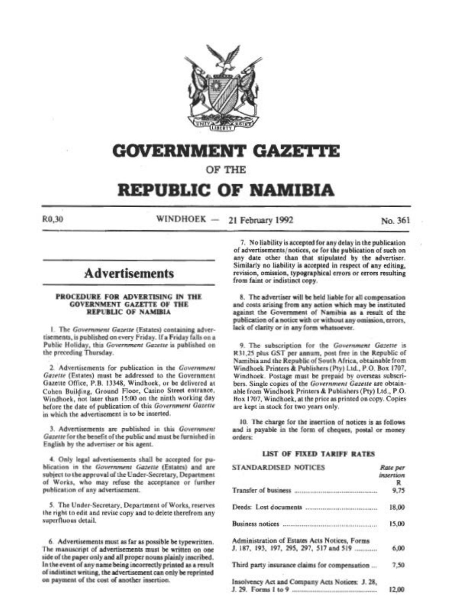

# GOVERNMENT GAZETI'E

OF THE

# REPUBLIC OF NAMIBIA

 $R0,30$  WINDHOEK - 21 February 1992 No. 361

# **Advertisements**

#### PROCEDURE FOR ADVERTISING IN THE GOVERNMENT GAZETTE OF THE REPUBLIC OF NAMIBIA

1. The Government Gazette (Estates) containing advertisements, is published on every Friday. If a Friday falls on a Public Holiday, this Government Gazette is published on the preceding Thursday.

2. Advertisements for publication in the Government Gazette (Estates) must be addressed to the Government Gazette Office, P.B. 13348, Windhoek, or be delivered at Cohen Building, Ground Floor, Casino Street entrance, Windhock, not later than 15:00 on the ninth working day before the date of publication of this Government Gazette in which the advertisement is to be inserted.

3. Advertisements are published in this Government *Gazette* for the benefit of the public and must be furnished in English by the advertiser or his agent.

4. Only legal advertisements shall be accepted for publication in the Government Gazette (Estates) and are subject to the approval of the Under-Secretary, Department of Works, who may refuse the acceptance or further publication of any advertisement.

5. The Under-Secretary, Department of Works, reserves the right to edit and revise copy and to delete therefrom any superfluous detail.

6. Advertisements must as far as possible be typewritten. The manuscript of advertisements must be written on one side of the paper only and all proper nouns plainly inscribed.<br>In the event of any name being incorrectly printed as a result of indistinct writing, the advertisement can only be reprinted on payment of the cost of another insertion.

7. No liability is accepted for any delay in the publication of advertisements/notices, or for the publication of such on any date other than that stipulated by the advertiser. Similarly no liability is accepted in respect of any editing. revision, omission, typographical errors or errors resulting from faint or indistinct copy.

8. The advertiser will be held liable for all compensation and costs arising from any action which may be instituted against the Government of Namibia as a result of the publication of a notice with or without any omission, errors, lack of clarity or in any form whatsoever.

9. The subscription for the Government Gazette is R31,25 plus GST per annum, post free in the Republic of Namibia and the Republic of South Africa, obtainable from Windhoek Printers & Publishers (Pty) Ltd., P.O. Box 1707, Windhoek. Postage must be prepaid by overseas subscribers. Single copies of the Government Gazette are obtainable from Windhoek Printers & Publishers (Pty) Ltd., P.O. Hox 1707, Windhoek, at the price as printed on copy. Copies are kept in stock for two years only.

10. The charge for the insertion of notices is as follows and is payable in the form of cheques, postal or money orders:

# **LIST OF FIXED TARIFF RATES**

| STANDARDISED NOTICES                                                                     | Rate per<br><b>HSEFTIOM</b><br>R |
|------------------------------------------------------------------------------------------|----------------------------------|
| Transfer of business                                                                     |                                  |
|                                                                                          | 18.00                            |
|                                                                                          | 15.00                            |
| Administration of Estates Acts Notices, Forms<br>J. 187, 193, 197, 295, 297, 517 and 519 | 6.00                             |
| Third party insurance claims for compensation                                            | 7.50                             |
| Insolvency Act and Company Acts Notices: J. 28,<br>J. 29. Forms 1 to 9                   |                                  |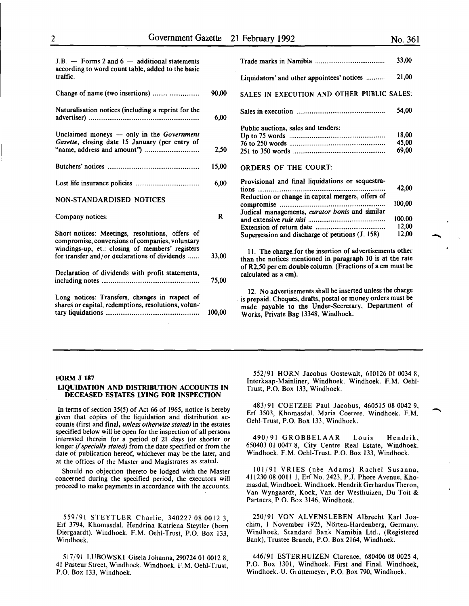90,00

 $J.B. -$  Forms 2 and  $6 -$  additional statements according to word count table, added to the basic traffic.

Change of name (two insertions) ....................... .

| Naturalisation notices (including a reprint for the                                                                                                   | 6,00   |
|-------------------------------------------------------------------------------------------------------------------------------------------------------|--------|
| Unclaimed moneys $-$ only in the Government<br>Gazette, closing date 15 January (per entry of                                                         | 2,50   |
|                                                                                                                                                       | 15,00  |
|                                                                                                                                                       | 6,00   |
| NON-STANDARDISED NOTICES                                                                                                                              |        |
| Company notices:                                                                                                                                      | R      |
| Short notices: Meetings, resolutions, offers of<br>compromise, conversions of companies, voluntary<br>windings-up, et.: closing of members' registers |        |
| for transfer and/or declarations of dividends                                                                                                         | 33,00  |
| Declaration of dividends with profit statements,                                                                                                      | 75,00  |
| Long notices: Transfers, changes in respect of<br>shares or capital, redemptions, resolutions, volun-                                                 | 100.00 |

|                                                   | 33,00  |
|---------------------------------------------------|--------|
| Liquidators' and other appointees' notices        | 21,00  |
| SALES IN EXECUTION AND OTHER PUBLIC SALES:        |        |
|                                                   | 54.00  |
| Public auctions, sales and tenders:               |        |
|                                                   | 18.00  |
|                                                   | 45,00  |
|                                                   | 69,00  |
| <b>ORDERS OF THE COURT:</b>                       |        |
| Provisional and final liquidations or sequestra-  |        |
| tions                                             | 42,00  |
| Reduction or change in capital mergers, offers of |        |
|                                                   | 100.00 |
| Judical managements, curator bonis and similar    |        |
|                                                   | 100,00 |
|                                                   | 12,00  |
| Supersession and discharge of petitions (J. 158)  | 12,00  |

11. The charge, for the insertion of advertisements other than the notices mentioned in paragraph 10 is at the rate of R2,50 per em double column. (Fractions of a em must be calculated as a em).

12. No advertisements shall be inserted unless the charge is prepaid. Cheques, drafts, postal or money orders must be made payable to the Under-Secretary, Department of Works, Private Bag 13348, Windhoek.

#### FORM J 187

#### LIQUIDATION AND DISTRIBUTION ACCOUNTS IN DECEASED ESTATES LYING FOR INSPECTION

In terms of section 35(5) of Act 66 of 1965, notice is hereby given that copies of the liquidation and distribution accounts (first and final, *unless otherwise stated)* in the estates specified below will be open for the inspection of all persons interested therein for a period of 21 days (or shorter or longer if *specially stated)* from the date specified or from the date of publication hereof, whichever may be the later, and at the offices of the Master and Magistrates as stated.

Should no objection thereto be lodged with the Master concerned during the specified period, the executors will proceed to make payments in accordance with the accounts.

559/91 STEYTLER Charlie, 340227 08 0012 3, Erf 3794, Khomasdal. Hendrina Katriena Steytler (born Diergaardt). Windhoek. F.M. Oehl-Trust, P.O. Box 133, Windhoek.

517/91 LUBOWSKI Gisela Johanna, 290724 01 0012 8, 41 Pasteur Street, Windhoek. Windhoek. F.M. Oehl-Trust, P.O. Box 133, Windhoek.

552/91 HORN Jacobus Oostewalt, 610126 01 0034 8, Interkaap-Mainliner, Windhoek. Windhoek. F.M. Oehl-Trust, P.O. Box 133, Windhoek.

483/91 COETZEE Paul Jacobus, 460515 08 0042 9, Erf 3503, Khomasdal. Maria Coetzee. Windhoek. F.M. Oehl-Trust, P.O. Box 133, Windhoek.

490/91 GROBBELAAR Louis Hendrik, 650403 01 0047 8, City Centre Real Estate, Windhoek. Windhoek. F.M. Oehl-Trust, P.O. Box 133, Windhoek.

101/91 VRIES (née Adams) Rachel Susanna, 411230 08 0011 1, Erf No. 2423, P.J. Phore Avenue, Khomasdal, Windhoek. Windhoek. Hendrik Gerhardus Theron, Van Wyngaardt, Kock, Vander Westhuizen, Du Toit & Partners, P.O. Box 3146, Windhoek.

250/91 VON ALVENSLEBEN Albrecht Karl Joachim, I November 1925, Norten-Hardenberg, Germany. Windhoek. Standard Bank Namibia Ltd., (Registered Bank), Trustee Branch, P.O. Box 2164, Windhoek.

446/91 ESTERHUIZEN Clarence, 680406 08 0025 4, P.O. Box 1301, Windhoek. First and Final. Windhoek, Windhoek. U. Griittemeyer, P.O. Box 790, Windhoek.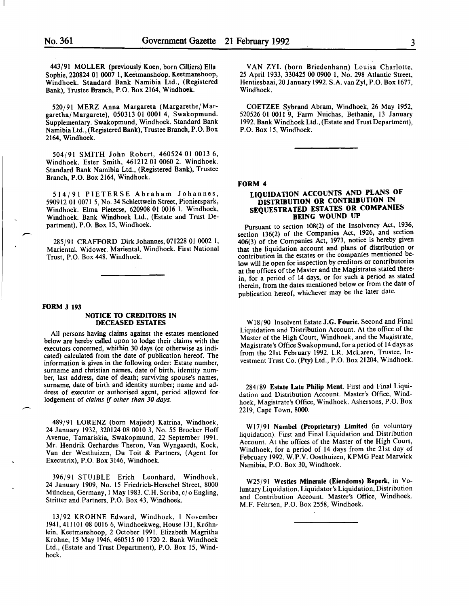443/91 MOLLER (previously Koen, born Cilliers) Ella Sophie, 220824 01 0007 1, Keetmanshoop. Keetmanshoop, Windhoek. Standard Bank Namibia Ltd., (Registered Bank), Trustee Branch, P.O. Box 2164, Windhoek.

520/91 MERZ Anna Margareta (Margarethe/Margaretha/Margarete), 050313 01 0001 4, Swakopmund. Supplementary. Swakopmund, Windhoek. Standard Bank Namibia Ltd., (Registered Bank), Trustee Branch, P.O. Box 2164, Windhoek.

504/91 SMITH John Robert, 460524 01 0013 6, Windhoek. Ester Smith, 461212 01 0060 2. Windhoek. Standard Bank Namibia Ltd., (Registered Bank), Trustee Branch, P.O. Box 2164, Windhoek.

514/91 PIETERSE Abraham Johannes, 590912 01 0071 5, No. 34 Schlettwein Street, Pionierspark, Windhoek. Elma Pieterse, 620908 01 0016 l. Windhoek, Windhoek. Bank Windhoek Ltd., (Estate and Trust Department), P.O. Box 15, Windhoek.

285/91 CRAFFORD Dirk Johannes, 071228 01 0002 I, Mariental. Widower. Mariental, Windhoek. First National Trust, P.O. Box 448, Windhoek.

#### FORM J 193

 $\overline{\phantom{a}}$ 

#### NOTICE 10 CREDITORS IN DECEASED ESTATES

All persons having claims against the estates mentioned below are hereby called upon to lodge their claims with the executors concerned, whithin 30 days (or otherwise as indicated) calculated from the date of publication hereof. The information is given in the following order: Estate number, surname and christian names, date of birth, identity number, last address, date of death; surviving spouse's names, surname, date of birth and identity number; name and address of executor or authorised agent, period allowed for lodgement of *claims* if *other than 30 days.* 

489/91 LORENZ (born Majiedt) Katrina, Windhoek, 24 January 1932, 320124 08 0010 3, No. *55* Brocker Hoff Avenue, Tamariskia, Swakopmund, 22 September 1991. Mr. Hendrik Gerhardus Theron, Van Wyngaardt, Kock, Van der Westhuizen, Du Toit & Partners, (Agent for Executrix), P.O. Box 3146, Windhoek.

396/91 STUIBLE Erich Leonhard, Windhoek, 24 January 1909, No. 15 Friedrich-Herschel Street, 8000 München, Germany, 1 May 1983. C.H. Scriba, c/o Engling, Stritter and Partners, P.O. Box 43, Windhoek.

13/92 KROHNE Edward, Windhoek, l November 1941,411101 08 0016 6, Windhoekweg, House 131, Krohnlein, Keetmanshoop, 2 October 1991. Elizabeth Magritha Krohne, 15 May 1946,460515 00 1720 2. Bank Windhoek Ltd., (Estate and Trust Department), P.O. Box 15, Windhoek.

VAN ZYL (born Briedenhann) Louisa Charlotte, 25 April 1933, 330425 00 0900 1, No. 298 Atlantic Street, Hentiesbaai, 20January 1992. S.A. van Zyl, P.O. Box 1677 Windhoek.

COETZEE Sybrand Abram, Windhoek, 26 May 1952, 520526 01 0011 9, Farm Nuichas, Bethanie, 13 January 1992. Bank Windhoek Ltd., (Estate and Trust Department), P.O. Box 15, Windhoek.

FORM 4

# LIQUIDATION ACCOUNTS AND PLANS OF DISTRIBUTION OR CONTRIBUTION IN SEQUESTRATED ESTATES OR COMPANIES BEING WOUND UP

Pursuant to section 108(2) of the Insolvency Act, 1936, section 136(2) of the Companies Act, 1926, and section 406(3) of the Companies Act, 1973, notice is hereby given contribution in the estates or the companies mentioned below will lie open for inspection by creditors or contributories at the offices of the Master and the Magistrates stated therein, for a period of 14 days, or for such a period as stated therein, from the dates mentioned below or from the date of publication hereof, whichever may be the later date.

Wl8/90 Insolvent Estate J.G. Fourie. Second and Final Liquidation and Distribution Account. At the office of the Master of the High Court, Windhoek, and the Magistrate, Magistrate's Office Swakopmund, for a period of 14 days as from the 21st February 1992. I.R. McLaren, Trustee, Investment Trust Co. (Pty) Ltd., P.O. Box 21204, Windhoek.

284/89 Estate Late Philip Ment. First and Final Liquidation and Distribution Account. Master's Office, Windhoek, Magistrate's Office, Windhoek. Ashersons, P.O. Box 2219, Cape Town, 8000.

W17/91 Nambel (Proprietary) Limited (in voluntary liquidation). First and Final Liquidation and Distribution Account. At the offices of the Master of the High Court, Windhoek, for a period of 14 days from the 21st day of February 1992. W.P.V. Oosthuizen, KPMG Peat Marwick Namibia, P.O. Box 30, Windhoek.

W25/91 Westies Minerale (Eiendoms) Beperk, in Voluntary Liquidation. Liquidator's Liquidation, Distribution and Contribution Account. Master's Office, Windhoek. M.F. Fehrsen, P.O. Box 2558, Windhoek.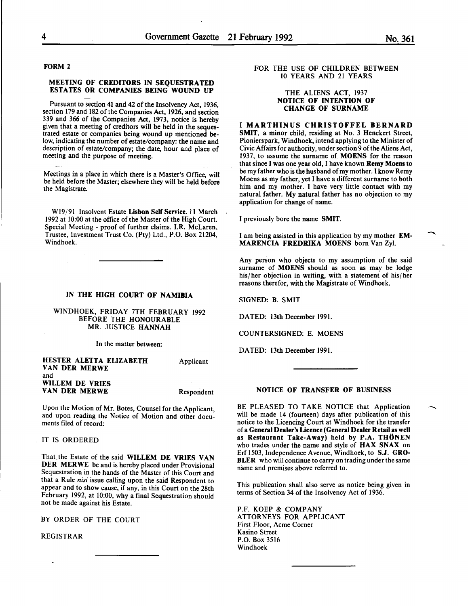FORM 2

### MEETING OF CREDITORS IN SEQUESTRATED ESTATES OR COMPANIES BEING WOUND UP

Pursuant to section 41 and 42 of the Insolvency Act, 1936, section 179 and 182 of the Companies Act, 1926, and section 339 and 366 of the Companies Act, 1973, notice is hereby given that a meeting of creditors will be held in the sequestrated estate or companies being wound up mentioned below, indicating the number of estate/company: the name and description of estate/company; the date, hour and place of meeting and the purpose of meeting.

Meetings in a place in which there is a Master's Office, will be held before the Master; elsewhere they will be held before the Magistrate.

W19/91 Insolvent Estate Lisbon Self Service. 11 March 1992 at 10:00 at the office of the Master of the High Court. Special Meeting - proof of further claims. I.R. McLaren, Trustee, Investment Trust Co. (Pty) Ltd., P.O. Box 21204, Windhoek.

## IN THE HIGH COURT OF NAMIBIA

WINDHOEK, FRIDAY 7TH FEBRUARY 1992 BEFORE THE HONOURABLE MR. JUSTICE HANNAH

In the matter between:

HESTER ALETTA ELIZABETH VAN DER MERWE and WILLEM DE VRIES VAN DER MERWE Applicant Respondent

Upon the Motion of Mr. Botes, Counsel for the Applicant. and upon reading the Notice of Motion and other documents filed of record:

# IT IS ORDERED

That. the Estate of the said WILLEM DE VRIES VAN DER MERWE be and is hereby placed under Provisional Sequestration in the hands of the Master of this Court and that a Rule *nisi* issue calling upon the said Respondent to appear and to show cause, if any, in this Court on the 28th February 1992, at 10:00, why a final Sequestration should not be made against his Estate.

BY ORDER OF THE COURT

REGISTRAR

# FOR THE USE OF CHILDREN BETWEEN 10 YEARS AND 21 YEARS

#### THE ALIENS ACT, 1937 NOTICE OF INTENTION OF CHANGE OF SURNAME

I MARTHINUS CHRISTOFFEL BERNARD SMIT, a minor child, residing at No. 3 Henckert Street, Pionierspark, Windhoek, intend applying to the Minister of Civic Affairs for authority, under section 9 of the Aliens Act, 1937, to assume the surname of MOENS for the reason that since I was one year old, I have known Remy Moens to be my father who is the husband of my mother. I know Remy Moens as my father, yet I have a different surname to both him and my mother. I have very little contact with my natural father. My natural father has no objection to my application for change of name.

I previously bore the name SMIT.

I am being assisted in this application by my mother EM-MARENCIA FREDRIKA MOENS born Van Zyl.

Any person who objects to my assumption of the said surname of MOENS should as soon as may be lodge his/her objection in writing, with a statement of his/her reasons therefor, with the Magistrate of Windhoek.

SIGNED: B. SMIT

DATED: 13th December 1991.

COUNTERSIGNED: E. MOENS

DATED: 13th December 1991.

# NOTICE OF TRANSFER OF BUSINESS

BE PLEASED TO TAKE NOTICE that Application will be made 14 (fourteen) days after publication of this notice to the Licencing Court at Windhoek for the transfer of a General Dealer's Licence (General Dealer Retail as well as Restaurant Take-Away) held by P.A. THONEN who trades under the name and style of HAX SNAX on Erf 1503, Independence Avenue, Windhoek, to S.J. GRO-**BLER** who will continue to carry on trading under the same name and premises above referred to.

This publication shall also serve as notice being given in terms of Section 34 of the Insolvency Act of 1936.

P.F. KOEP & COMPANY ATTORNEYS FOR APPLICANT First Floor, Acme Corner Kasino Street P.O. Box 3516 Windhoek

-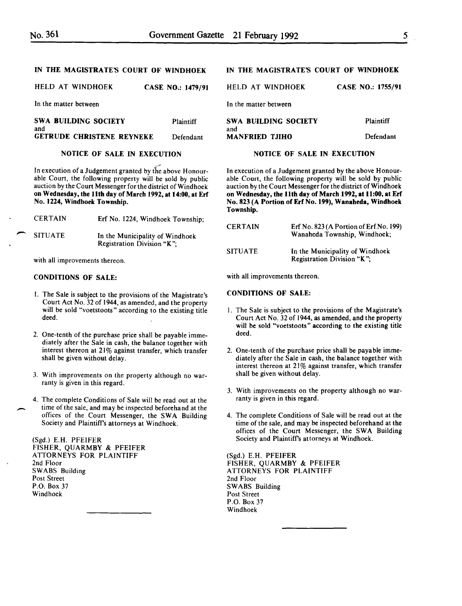| HELD AT WINDHOEK                   | <b>CASE NO.: 1479/91</b> | HELD AT WINDHOEK            | <b>CASE NO.: 1755/91</b> |
|------------------------------------|--------------------------|-----------------------------|--------------------------|
| In the matter between              |                          | In the matter between       |                          |
| <b>SWA BUILDING SOCIETY</b><br>and | <b>Plaintiff</b>         | SWA BUILDING SOCIETY<br>and | <b>Plaintiff</b>         |
| <b>GETRUDE CHRISTENE REYNEKE</b>   | Defendant                | <b>MANFRIED TJIHO</b>       | Defendant                |

## NOTICE OF SALE IN EXECUTION

In execution of a Judgement granted by the above Honourable Court, the following property will be sold by public auction by the Court Messenger for the district of Windhoek on Wednesday, the lith day of March 1992, at 14:00, at Erf No. 1224, Windhoek Township.

|   | <b>CERTAIN</b> | Erf No. 1224, Windhoek Township;                              |
|---|----------------|---------------------------------------------------------------|
| ∼ | <b>SITUATE</b> | In the Municipality of Windhoek<br>Registration Division "K"; |

with all improvements thereon.

# CONDITIONS OF SALE:

- I. The Sale is subject to the provisions of the Magistrate's Court Act No. 32 of 1944, as amended, and the property will be sold "voetstoots" according to the existing title deed.
- 2. One-tenth of the purchase price shall be payable immediately after the Sale in cash, the balance together with interest thereon at 21% against transfer, which transfer shall be given without delay.
- 3. With improvements on the property although no warranty is given in this regard.
- 4. The complete Conditions of Sale will be read out at the time of the sale, and may be inspected beforehand at the offices of the Court Messenger, the SWA Building Society and Plaintiffs attorneys at Windhoek.

(Sgd.) E.H. PFEIFER FISHER, QUARMBY & PFEIFER ATTORNEYS FOR PLAINTIFF 2nd Floor SWABS Building Post Street P.O. Box 37 Windhoek

-

# IN THE MAGISTRATE'S COURT OF WINDHOEK

| <b>Plaintiff</b> |
|------------------|
|                  |
| Defendant        |
|                  |

#### NOTICE OF SALE IN EXECUTION

In execution of a Judgement granted by the above Honourable Court, the following property will be sold by public auction by the Court Messenger for the district of Windhoek on Wednesday, the lith day of March 1992, at li:OO, at Erf No. 823 (A Portion of Erf No. 199), Wanaheda, Windhoek Township.

| <b>CERTAIN</b> | Erf No. $823(A$ Portion of Erf No. 199)<br>Wanaheda Township, Windhoek; |  |  |
|----------------|-------------------------------------------------------------------------|--|--|
| <b>SITUATE</b> | In the Municipality of Windhoek<br>Registration Division "K".           |  |  |

with all improvements thereon.

CONDITIONS OF SALE:

- I. The Sale is subject to the provisions of the Magistrate's Court Act No. 32 of 1944, as amended, and the property will be sold "voetstoots" according to the existing title deed.
- 2. One-tenth of the purchase price shall be payable immediately after the Sale in cash, the balance together with interest thereon at 21% against transfer, which transfer shall be given without delay.
- 3. With improvements on the property although no warranty is given in this regard.
- 4. The complete Conditions of Sale will be read out at the time of the sale, and may be inspected beforehand at the offices of the Court Messenger, the SWA Building Society and Plaintiffs attorneys at Windhoek.

(Sgd.) E.H. PFEIFER FISHER, QUARMBY & PFEIFER ATTORNEYS FOR PLAINTIFF 2nd Floor SWABS Building Post Street P.O. Box 37 Windhoek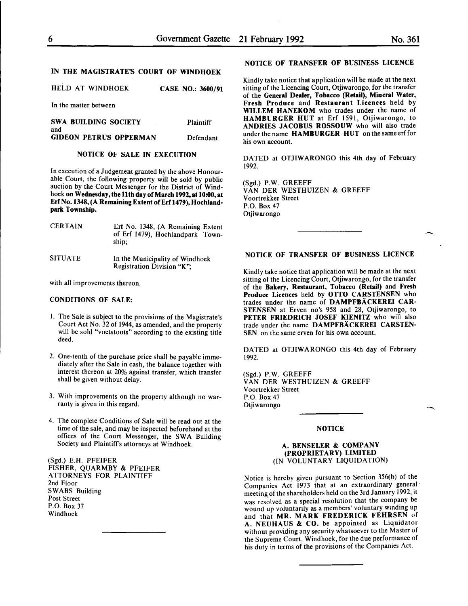# IN THE MAGISTRATE'S COURT OF WINDHOEK

HELD AT WINDHOEK CASE NO.: 3600/91

In the matter between

SWA BUILDING SOCIETY Plaintiff and GIDEON PETRUS OPPERMAN Defendant

# NOTICE OF SALE IN EXECUTION

In execution of a Judgement granted by the above Honourable Court, the following property will be sold by public auction by the Court Messenger for the District of Windhoek on Wednesday, the 11th day of March 1992, at 10:00, at Erf No. 1348, (A Remaining Extent of Erf 1479), Hochlandpark Township.

| <b>CERTAIN</b> | Erf No. 1348, (A Remaining Extent<br>of Erf 1479), Hochlandpark Town-<br>ship. |
|----------------|--------------------------------------------------------------------------------|
| SITUATE        | In the Municipality of Windhoek<br>Registration Division "K";                  |

with all improvements thereon.

### CONDITIONS OF SALE:

- I. The Sale is subject to the provisions of the Magistrate's Court Act No. 32 of 1944, as amended, and the property will be sold "voetstoots" according to the existing title deed.
- 2. One-tenth of the purchase price shall be payable immediately after the Sale in cash, the balance together with interest thereon at 20% against transfer, which transfer shall be given without delay.
- 3. With improvements on the property although no warranty is given in this regard.
- 4. The complete Conditions of Sale will be read out at the time of the sale, and may be inspected beforehand at the offices of the Court Messenger, the SWA Building Society and Plaintiffs attorneys at Windhoek.

(Sgd.} E.H. PFEIFER FISHER, QUARMBY & PFEIFER ATTORNEYS FOR PLAINTIFF 2nd Floor SWABS Building Post Street P.O. Box 37 Windhoek

## NOTICE OF TRANSFER OF BUSINESS LICENCE

Kindly take notice that application will be made at the next sitting of the Licencing Court, Otjiwarongo, for the transfer of the General Dealer, Tobacco (Retail), Mineral Water, Fresh Produce and Restaurant Licences held by WILLEM HANEKOM who trades under the name of HAMBURGER HUT at Erf 1591, Otjiwarongo, to ANDRIES JACOBUS ROSSOUW who will also trade under the name HAMBURGER HUT on the same erffor his own account.

DATED at OTJIW ARONGO this 4th day of February 1992.

(Sgd.) P.W. GREEFF VAN DER WESTHUIZEN & GREEFF Voortrekker Street P.O. Box 47 Otjiwarongo

# NOTICE OF TRANSFER OF BUSINESS LICENCE

Kindly take notice that application will be made at the next sitting of the Licencing Court, Otjiwarongo, for the transfer of the Bakery, Restaurant, Tobacco (Retail) and Fresh Produce Licences held by OTTO CARSTENSEN who trades under the name of DAMPFBACKEREI CAR-STENSEN at Erven no's 958 and 28, Otjiwarongo, to PETER FRIEDRICH JOSEF KIENITZ who will also trade under the name DAMPFBÄCKEREI CARSTEN-SEN on the same erven for his own account.

DATED at OTJIWARONGO this 4th day of February 1992.

(Sgd.) P.W. GREEFF VAN DER WESTHUIZEN & GREEFF Voortrekker Street P.O. Box 47 Otjiwarongo

# **NOTICE**

#### A. BENSELER & COMPANY (PROPRIETARY) LIMITED (IN VOLUNTARY LIQUIDATION)

Notice is hereby given pursuant to Section 356(b) of the Companies Act 1973 that at an extraordinary general meeting of the shareholders held on the 3rd January 1992, 1t was resolved as a special resolution that the company be wound up voluntarily as a members' voluntary winding up and that MR. MARK FREDERICK FEHRSEN of A. NEUHAUS & CO. be appointed as Liquidator without providing any security whatsoever to the Master of the Supreme Court, Windhoek, for the due performance of his duty in terms of the provisions of the Compames Act.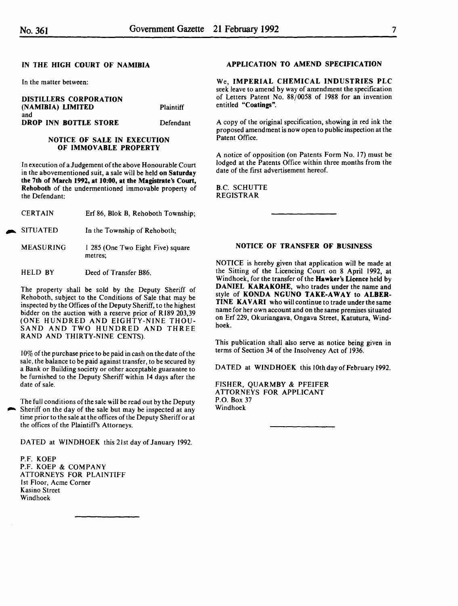In the matter between:

| <b>DISTILLERS CORPORATION</b><br>(NAMIBIA) LIMITED | <b>Plaintiff</b> |
|----------------------------------------------------|------------------|
| and<br>DROP INN BOTTLE STORE                       | Defendant        |

# NOTICE OF SALE IN EXECUTION OF IMMOVABLE PROPERTY

In execution of a Judgement of the above Honourable Court in the abovementioned suit, a sale will be held on Saturday the 7th of March 1992, at 10:00, at the Magistrate's Court, Rehoboth of the undermentioned immovable property of the Defendant:

| CERTAIN |  |  |  | Erf 86, Blok B, Rehoboth Township; |
|---------|--|--|--|------------------------------------|
|---------|--|--|--|------------------------------------|

**SITUATED** In the Township of Rehoboth;

MEASURING I 285 (One Two Eight Five) square metres;

HELD BY Deed of Transfer B86.

The property shall be sold by the Deputy Sheriff of Rehoboth, subject to the Conditions of Sale that may be inspected by the Offices of the Deputy Sheriff, to the highest bidder on the auction with a reserve price of R 189 203,39 (ONE HUNDRED AND EIGHTY-NINE THOU-SAND AND TWO HUNDRED AND THREE RAND AND THIRTY-NINE CENTS).

10% of the purchase price to be paid in cash on the date of the sale, the balance to be paid against transfer, to be secured by a Bank or Building society or other acceptable guarantee to be furnished to the Deputy Sheriff within 14 days after the date of sale.

The full conditions of the sale will be read out by the Deputy Sheriff on the day of the sale but may be inspected at any time prior to the sale at the offices of the Deputy Sheriff or at the offices of the Plaintiffs Attorneys.

DATED at WINDHOEK this 21st day of January 1992.

P.F. KOEP P.F. KOEP & COMPANY ATTORNEYS FOR PLAINTIFF 1st Floor, Acme Corner Kasino Street Windhoek

#### APPLICATION TO AMEND SPECIFICATION

We, IMPERIAL CHEMICAL INDUSTRIES PLC seek leave to amend by way of amendment the specification of Letters Patent No. 88/0058 of 1988 for an invention entitled "Coatings".

A copy of the original specification, showing in red ink the proposed amendment is now open to public inspection at the Patent Office.

A notice of opposition (on Patents Form No. 17) must be lodged at the Patents Office within three months from the date of the first advertisement hereof.

B.C. SCHUTTE REGISTRAR

# NOTICE OF TRANSFER OF BUSINESS

NOTICE is hereby given that application will be made at the Sitting of the Licencing Court on 8 April 1992, at Windhoek, for the transfer of the Hawker's Licence held by DANIEL KARAKOHE, who trades under the name and style of KONDA NGUNO TAKE-AWAY to ALBER-TINE KAVARI who will continue to trade under the same name for her own account and on the same premises situated on Erf 229, Okuriangava, Ongava Street, Katutura, Windhoek.

This publication shall also serve as notice being given in terms of Section 34 of the Insolvency Act of 1936.

DATED at WINDHOEK this 10th day of February 1992.

FISHER, QUARMBY & PFEIFER ATTORNEYS FOR APPLICANT P.O. Box 37 Windhoek